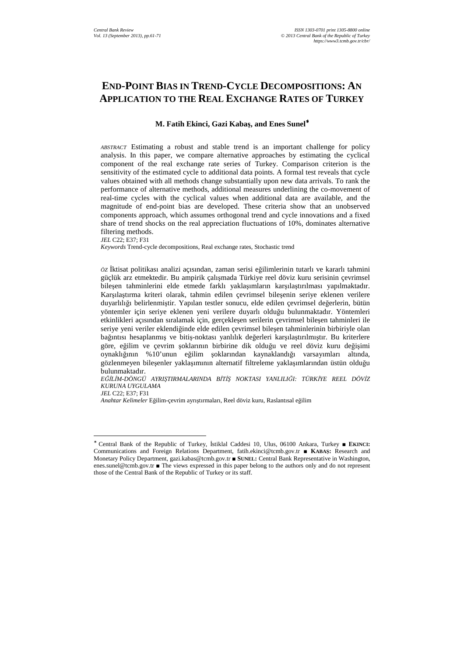# **END-POINT BIAS IN TREND-CYCLE DECOMPOSITIONS: AN APPLICATION TO THE REAL EXCHANGE RATES OF TURKEY**

#### **M. Fatih Ekinci, Gazi Kabaş, and Enes Sunel**<sup>∗</sup>

*ABSTRACT* Estimating a robust and stable trend is an important challenge for policy analysis. In this paper, we compare alternative approaches by estimating the cyclical component of the real exchange rate series of Turkey. Comparison criterion is the sensitivity of the estimated cycle to additional data points. A formal test reveals that cycle values obtained with all methods change substantially upon new data arrivals. To rank the performance of alternative methods, additional measures underlining the co-movement of real-time cycles with the cyclical values when additional data are available, and the magnitude of end-point bias are developed. These criteria show that an unobserved components approach, which assumes orthogonal trend and cycle innovations and a fixed share of trend shocks on the real appreciation fluctuations of 10%, dominates alternative filtering methods.

*JEL* C22; E37; F31

*Keywords* Trend-cycle decompositions, Real exchange rates, Stochastic trend

*ÖZ* İktisat politikası analizi açısından, zaman serisi eğilimlerinin tutarlı ve kararlı tahmini güçlük arz etmektedir. Bu ampirik çalışmada Türkiye reel döviz kuru serisinin çevrimsel bileşen tahminlerini elde etmede farklı yaklaşımların karşılaştırılması yapılmaktadır. Karşılaştırma kriteri olarak, tahmin edilen çevrimsel bileşenin seriye eklenen verilere duyarlılığı belirlenmiştir. Yapılan testler sonucu, elde edilen çevrimsel değerlerin, bütün yöntemler için seriye eklenen yeni verilere duyarlı olduğu bulunmaktadır. Yöntemleri etkinlikleri açısından sıralamak için, gerçekleşen serilerin çevrimsel bileşen tahminleri ile seriye yeni veriler eklendiğinde elde edilen çevrimsel bileşen tahminlerinin birbiriyle olan bağıntısı hesaplanmış ve bitiş-noktası yanlılık değerleri karşılaştırılmıştır. Bu kriterlere göre, eğilim ve çevrim şoklarının birbirine dik olduğu ve reel döviz kuru değişimi oynaklığının %10'unun eğilim şoklarından kaynaklandığı varsayımları altında, gözlenmeyen bileşenler yaklaşımının alternatif filtreleme yaklaşımlarından üstün olduğu bulunmaktadır.

*EĞİLİM-DÖNGÜ AYRIŞTIRMALARINDA BİTİŞ NOKTASI YANLILIĞI: TÜRKİYE REEL DÖVİZ KURUNA UYGULAMA*

*JEL* C22; E37; F31

l

*Anahtar Kelimeler* Eğilim-çevrim ayrıştırmaları, Reel döviz kuru, Raslantısal eğilim

<sup>∗</sup> Central Bank of the Republic of Turkey, İstiklal Caddesi 10, Ulus, 06100 Ankara, Turkey ■ **EKINCI:** Communications and Foreign Relations Department, fatih.ekinci@tcmb.gov.tr ■ **KABAŞ:** Research and Monetary Policy Department, gazi.kabas@tcmb.gov.tr ■ **SUNEL:** Central Bank Representative in Washington, enes.sunel@tcmb.gov.tr ■ The views expressed in this paper belong to the authors only and do not represent those of the Central Bank of the Republic of Turkey or its staff.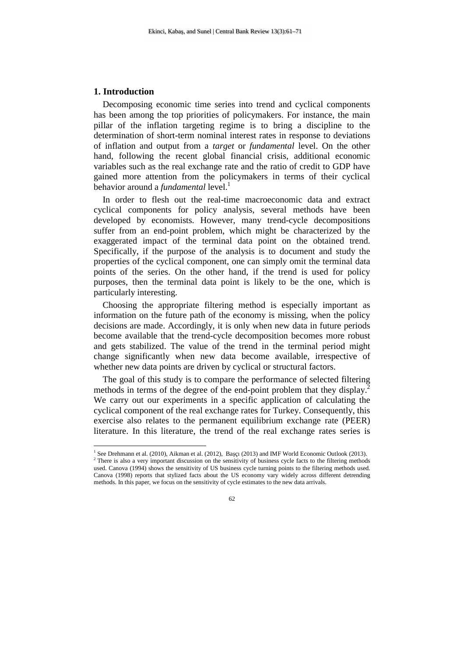#### **1. Introduction**

Decomposing economic time series into trend and cyclical components has been among the top priorities of policymakers. For instance, the main pillar of the inflation targeting regime is to bring a discipline to the determination of short-term nominal interest rates in response to deviations of inflation and output from a *target* or *fundamental* level. On the other hand, following the recent global financial crisis, additional economic variables such as the real exchange rate and the ratio of credit to GDP have gained more attention from the policymakers in terms of their cyclical behavior around a *fundamental* level.<sup>1</sup>

In order to flesh out the real-time macroeconomic data and extract cyclical components for policy analysis, several methods have been developed by economists. However, many trend-cycle decompositions suffer from an end-point problem, which might be characterized by the exaggerated impact of the terminal data point on the obtained trend. Specifically, if the purpose of the analysis is to document and study the properties of the cyclical component, one can simply omit the terminal data points of the series. On the other hand, if the trend is used for policy purposes, then the terminal data point is likely to be the one, which is particularly interesting.

Choosing the appropriate filtering method is especially important as information on the future path of the economy is missing, when the policy decisions are made. Accordingly, it is only when new data in future periods become available that the trend-cycle decomposition becomes more robust and gets stabilized. The value of the trend in the terminal period might change significantly when new data become available, irrespective of whether new data points are driven by cyclical or structural factors.

The goal of this study is to compare the performance of selected filtering methods in terms of the degree of the end-point problem that they display.<sup>2</sup> We carry out our experiments in a specific application of calculating the cyclical component of the real exchange rates for Turkey. Consequently, this exercise also relates to the permanent equilibrium exchange rate (PEER) literature. In this literature, the trend of the real exchange rates series is

<sup>&</sup>lt;sup>1</sup> See Drehmann et al. (2010), Aikman et al. (2012), Başçı (2013) and IMF World Economic Outlook (2013). <sup>2</sup> There is also a very important discussion on the sensitivity of business cycle facts to the filtering methods used. Canova (1994) shows the sensitivity of US business cycle turning points to the filtering methods used. Canova (1998) reports that stylized facts about the US economy vary widely across different detrending methods. In this paper, we focus on the sensitivity of cycle estimates to the new data arrivals.

<sup>62</sup>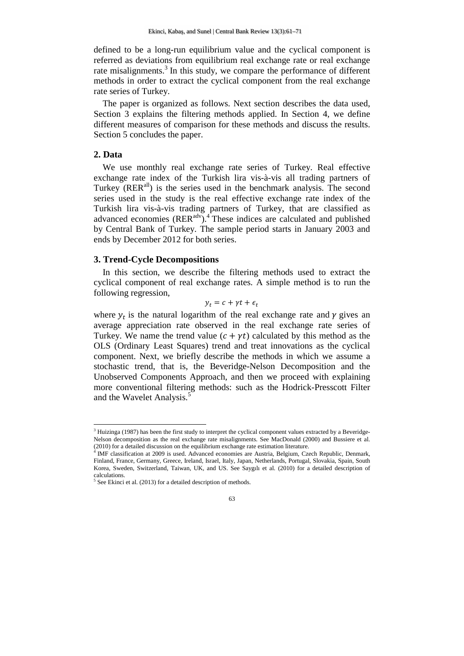defined to be a long-run equilibrium value and the cyclical component is referred as deviations from equilibrium real exchange rate or real exchange rate misalignments. $3$  In this study, we compare the performance of different methods in order to extract the cyclical component from the real exchange rate series of Turkey.

The paper is organized as follows. Next section describes the data used, Section 3 explains the filtering methods applied. In Section 4, we define different measures of comparison for these methods and discuss the results. Section 5 concludes the paper.

# **2. Data**

We use monthly real exchange rate series of Turkey. Real effective exchange rate index of the Turkish lira vis-à-vis all trading partners of Turkey (RER<sup>all</sup>) is the series used in the benchmark analysis. The second series used in the study is the real effective exchange rate index of the Turkish lira vis-à-vis trading partners of Turkey, that are classified as advanced economies  $(RER<sup>adv</sup>)$ <sup>4</sup>. These indices are calculated and published by Central Bank of Turkey. The sample period starts in January 2003 and ends by December 2012 for both series.

# **3. Trend-Cycle Decompositions**

In this section, we describe the filtering methods used to extract the cyclical component of real exchange rates. A simple method is to run the following regression,

### $y_t = c + \gamma t + \epsilon_t$

where  $y_t$  is the natural logarithm of the real exchange rate and  $\gamma$  gives an average appreciation rate observed in the real exchange rate series of Turkey. We name the trend value  $(c + \gamma t)$  calculated by this method as the OLS (Ordinary Least Squares) trend and treat innovations as the cyclical component. Next, we briefly describe the methods in which we assume a stochastic trend, that is, the Beveridge-Nelson Decomposition and the Unobserved Components Approach, and then we proceed with explaining more conventional filtering methods: such as the Hodrick-Presscott Filter and the Wavelet Analysis.<sup>5</sup>

<sup>&</sup>lt;sup>3</sup> Huizinga (1987) has been the first study to interpret the cyclical component values extracted by a Beveridge-Nelson decomposition as the real exchange rate misalignments. See MacDonald (2000) and Bussiere et al. (2010) for a detailed discussion on the equilibrium exchange rate estimation literature.

<sup>4</sup> IMF classification at 2009 is used. Advanced economies are Austria, Belgium, Czech Republic, Denmark, Finland, France, Germany, Greece, Ireland, Israel, Italy, Japan, Netherlands, Portugal, Slovakia, Spain, South Korea, Sweden, Switzerland, Taiwan, UK, and US. See Saygılı et al. (2010) for a detailed description of calculations.

<sup>&</sup>lt;sup>5</sup> See Ekinci et al. (2013) for a detailed description of methods.

<sup>63</sup>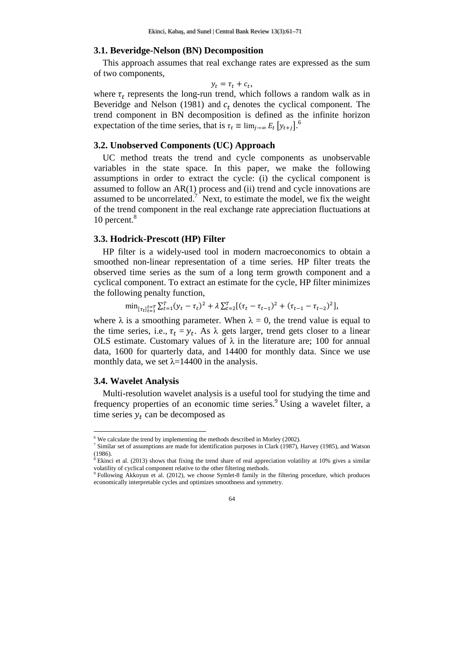#### **3.1. Beveridge-Nelson (BN) Decomposition**

This approach assumes that real exchange rates are expressed as the sum of two components,

$$
y_t = \tau_t + c_t,
$$

where  $\tau_t$  represents the long-run trend, which follows a random walk as in Beveridge and Nelson (1981) and  $c_t$  denotes the cyclical component. The trend component in BN decomposition is defined as the infinite horizon expectation of the time series, that is  $\tau_t \equiv \lim_{j \to \infty} E_t [y_{t+j}]$ .<sup>6</sup>

### **3.2. Unobserved Components (UC) Approach**

UC method treats the trend and cycle components as unobservable variables in the state space. In this paper, we make the following assumptions in order to extract the cycle: (i) the cyclical component is assumed to follow an AR(1) process and (ii) trend and cycle innovations are assumed to be uncorrelated.<sup>7</sup> Next, to estimate the model, we fix the weight of the trend component in the real exchange rate appreciation fluctuations at 10 percent.<sup>8</sup>

# **3.3. Hodrick-Prescott (HP) Filter**

HP filter is a widely-used tool in modern macroeconomics to obtain a smoothed non-linear representation of a time series. HP filter treats the observed time series as the sum of a long term growth component and a cyclical component. To extract an estimate for the cycle, HP filter minimizes the following penalty function,

$$
\min_{[\tau_t]_{t=1}^{t=T}} \sum_{t=1}^T (\mathcal{Y}_t - \tau_t)^2 + \lambda \sum_{t=2}^T [(\tau_t - \tau_{t-1})^2 + (\tau_{t-1} - \tau_{t-2})^2],
$$

where  $\lambda$  is a smoothing parameter. When  $\lambda = 0$ , the trend value is equal to the time series, i.e.,  $\tau_t = y_t$ . As  $\lambda$  gets larger, trend gets closer to a linear OLS estimate. Customary values of  $\lambda$  in the literature are; 100 for annual data, 1600 for quarterly data, and 14400 for monthly data. Since we use monthly data, we set  $\lambda$ =14400 in the analysis.

# **3.4. Wavelet Analysis**

Multi-resolution wavelet analysis is a useful tool for studying the time and frequency properties of an economic time series.<sup>9</sup> Using a wavelet filter, a time series  $y_t$  can be decomposed as

 $6$  We calculate the trend by implementing the methods described in Morley (2002).

<sup>&</sup>lt;sup>7</sup> Similar set of assumptions are made for identification purposes in Clark (1987), Harvey (1985), and Watson (1986). <sup>8</sup> Ekinci et al. (2013) shows that fixing the trend share of real appreciation volatility at 10% gives a similar

volatility of cyclical component relative to the other filtering methods.<br><sup>9</sup> Following Akkoyun et al. (2012), we choose Symlet-8 family in the filtering procedure, which produces

economically interpretable cycles and optimizes smoothness and symmetry.

<sup>64</sup>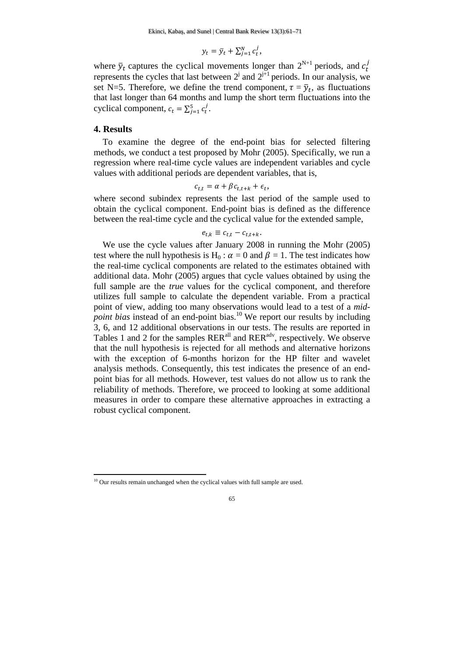$$
y_t = \bar{y}_t + \sum_{j=1}^N c_t^j,
$$

where  $\bar{y}_t$  captures the cyclical movements longer than  $2^{N+1}$  periods, and  $c_t^j$ represents the cycles that last between  $2^{j}$  and  $2^{j+1}$  periods. In our analysis, we set N=5. Therefore, we define the trend component,  $\tau = \bar{y}_t$ , as fluctuations that last longer than 64 months and lump the short term fluctuations into the cyclical component,  $c_t = \sum_{j=1}^{5} c_t^j$ .

### **4. Results**

To examine the degree of the end-point bias for selected filtering methods, we conduct a test proposed by Mohr (2005). Specifically, we run a regression where real-time cycle values are independent variables and cycle values with additional periods are dependent variables, that is,

$$
c_{t,t} = \alpha + \beta c_{t,t+k} + \epsilon_t,
$$

where second subindex represents the last period of the sample used to obtain the cyclical component. End-point bias is defined as the difference between the real-time cycle and the cyclical value for the extended sample,

$$
e_{t,k} \equiv c_{t,t} - c_{t,t+k}.
$$

We use the cycle values after January 2008 in running the Mohr (2005) test where the null hypothesis is  $H_0$ :  $\alpha = 0$  and  $\beta = 1$ . The test indicates how the real-time cyclical components are related to the estimates obtained with additional data. Mohr (2005) argues that cycle values obtained by using the full sample are the *true* values for the cyclical component, and therefore utilizes full sample to calculate the dependent variable. From a practical point of view, adding too many observations would lead to a test of a *midpoint bias* instead of an end-point bias.<sup>10</sup> We report our results by including 3, 6, and 12 additional observations in our tests. The results are reported in Tables 1 and 2 for the samples RER<sup>all</sup> and RER<sup>adv</sup>, respectively. We observe that the null hypothesis is rejected for all methods and alternative horizons with the exception of 6-months horizon for the HP filter and wavelet analysis methods. Consequently, this test indicates the presence of an endpoint bias for all methods. However, test values do not allow us to rank the reliability of methods. Therefore, we proceed to looking at some additional measures in order to compare these alternative approaches in extracting a robust cyclical component.

 $10$  Our results remain unchanged when the cyclical values with full sample are used.

<sup>65</sup>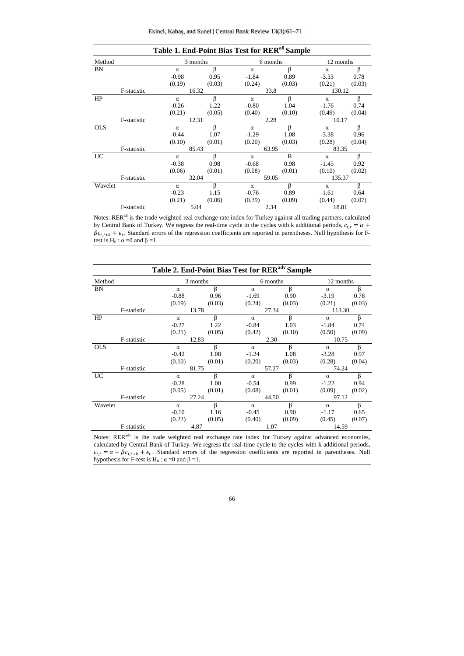Ekinci, Kabaş, and Sunel | Central Bank Review 13(3):61–71

|            |             | Table 1. End-Point Bias Test for RER <sup>all</sup> Sample |          |          |                |           |        |
|------------|-------------|------------------------------------------------------------|----------|----------|----------------|-----------|--------|
| Method     |             |                                                            | 3 months |          | 6 months       | 12 months |        |
| BN         |             | $\alpha$                                                   | β        | $\alpha$ | ß              | $\alpha$  | β      |
|            |             | $-0.98$                                                    | 0.95     | $-1.84$  | 0.89           | $-3.33$   | 0.78   |
|            |             | (0.19)                                                     | (0.03)   | (0.24)   | (0.03)         | (0.21)    | (0.03) |
|            | F-statistic |                                                            | 16.32    |          | 33.8           | 130.12    |        |
| HP         |             | $\alpha$                                                   | β        | $\alpha$ | β              | $\alpha$  | β      |
|            |             | $-0.26$                                                    | 1.22     | $-0.80$  | 1.04           | $-1.76$   | 0.74   |
|            |             | (0.21)                                                     | (0.05)   | (0.40)   | (0.10)         | (0.49)    | (0.04) |
|            | F-statistic |                                                            | 12.31    | 2.28     |                | 10.17     |        |
| <b>OLS</b> |             | $\alpha$                                                   | β        | $\alpha$ | β              | $\alpha$  | β      |
|            |             | $-0.44$                                                    | 1.07     | $-1.29$  | 1.08           | $-3.38$   | 0.96   |
|            |             | (0.10)                                                     | (0.01)   | (0.20)   | (0.03)         | (0.28)    | (0.04) |
|            | F-statistic |                                                            | 85.43    |          | 63.95          | 83.35     |        |
| UC         |             | $\alpha$                                                   | β        | $\alpha$ | $\overline{B}$ | $\alpha$  | β      |
|            |             | $-0.38$                                                    | 0.98     | $-0.68$  | 0.98           | $-1.45$   | 0.92   |
|            |             | (0.06)                                                     | (0.01)   | (0.08)   | (0.01)         | (0.10)    | (0.02) |
|            | F-statistic |                                                            | 32.04    |          | 59.05          | 135.37    |        |
| Wavelet    |             | $\alpha$                                                   | β        | $\alpha$ | β              | $\alpha$  | β      |
|            |             | $-0.23$                                                    | 1.15     | $-0.76$  | 0.89           | $-1.61$   | 0.64   |
|            |             | (0.21)                                                     | (0.06)   | (0.39)   | (0.09)         | (0.44)    | (0.07) |
|            | F-statistic |                                                            | 5.04     | 2.34     |                | 18.81     |        |

Notes: RER<sup>all</sup> is the trade weighted real exchange rate index for Turkey against all trading partners, calculated by Central Bank of Turkey. We regress the real-time cycle to the cycles with k additional periods,  $c_{t,t} = \alpha + \alpha$  $\beta c_{t,t+k} + \epsilon_t$ . Standard errors of the regression coefficients are reported in parentheses. Null hypothesis for Ftest is  $H_0$ :  $\alpha = 0$  and  $\beta = 1$ .

|            |             |          |          |          | Table 2. End-Point Bias Test for RER <sup>adv</sup> Sample |           |        |
|------------|-------------|----------|----------|----------|------------------------------------------------------------|-----------|--------|
| Method     |             |          | 3 months |          | 6 months                                                   | 12 months |        |
| <b>BN</b>  |             | $\alpha$ | β        | $\alpha$ | β                                                          | $\alpha$  | β      |
|            |             | $-0.88$  | 0.96     | $-1.69$  | 0.90                                                       | $-3.19$   | 0.78   |
|            |             | (0.19)   | (0.03)   | (0.24)   | (0.03)                                                     | (0.21)    | (0.03) |
|            | F-statistic |          | 13.78    |          | 27.34                                                      | 113.30    |        |
| HP         |             | $\alpha$ | ß        | $\alpha$ | β                                                          | $\alpha$  | β      |
|            |             | $-0.27$  | 1.22     | $-0.84$  | 1.03                                                       | $-1.84$   | 0.74   |
|            |             | (0.21)   | (0.05)   | (0.42)   | (0.10)                                                     | (0.50)    | (0.09) |
|            | F-statistic |          | 12.83    |          | 2.30                                                       | 10.75     |        |
| <b>OLS</b> |             | $\alpha$ | β        | $\alpha$ | β                                                          | $\alpha$  | β      |
|            |             | $-0.42$  | 1.08     | $-1.24$  | 1.08                                                       | $-3.28$   | 0.97   |
|            |             | (0.10)   | (0.01)   | (0.20)   | (0.03)                                                     | (0.28)    | (0.04) |
|            | F-statistic |          | 81.75    |          | 57.27                                                      | 74.24     |        |
| UC         |             | $\alpha$ | β        | $\alpha$ | β                                                          | $\alpha$  | β      |
|            |             | $-0.28$  | 1.00     | $-0.54$  | 0.99                                                       | $-1.22$   | 0.94   |
|            |             | (0.05)   | (0.01)   | (0.08)   | (0.01)                                                     | (0.09)    | (0.02) |
|            | F-statistic |          | 27.24    |          | 44.50                                                      | 97.12     |        |
| Wavelet    |             | $\alpha$ | β        | $\alpha$ | β                                                          | $\alpha$  | β      |
|            |             | $-0.10$  | 1.16     | $-0.45$  | 0.90                                                       | $-1.17$   | 0.65   |
|            |             | (0.22)   | (0.05)   | (0.40)   | (0.09)                                                     | (0.45)    | (0.07) |
|            | F-statistic |          | 4.87     |          | 1.07                                                       | 14.59     |        |

Notes: RER<sup>adv</sup> is the trade weighted real exchange rate index for Turkey against advanced economies, calculated by Central Bank of Turkey. We regress the real-time cycle to the cycles with k additional periods,  $c_{t,t} = \alpha + \beta c_{t,t+k} + \epsilon_t$ . Standard errors of the regression coefficients are reported in parentheses. Null hypothesis for F-test is H<sub>0</sub> :  $\alpha$  =0 and  $\beta$  =1.

66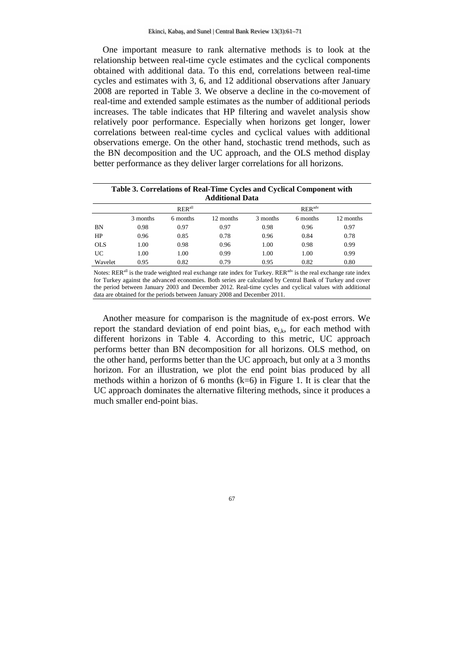One important measure to rank alternative methods is to look at the relationship between real-time cycle estimates and the cyclical components obtained with additional data. To this end, correlations between real-time cycles and estimates with 3, 6, and 12 additional observations after January 2008 are reported in Table 3. We observe a decline in the co-movement of real-time and extended sample estimates as the number of additional periods increases. The table indicates that HP filtering and wavelet analysis show relatively poor performance. Especially when horizons get longer, lower correlations between real-time cycles and cyclical values with additional observations emerge. On the other hand, stochastic trend methods, such as the BN decomposition and the UC approach, and the OLS method display better performance as they deliver larger correlations for all horizons.

| Table 3. Correlations of Real-Time Cycles and Cyclical Component with |                                          | <b>Additional Data</b> |         |                                          |    |
|-----------------------------------------------------------------------|------------------------------------------|------------------------|---------|------------------------------------------|----|
|                                                                       | $RER$ <sup>all</sup>                     |                        |         | RER <sup>adv</sup>                       |    |
| $2 - 1$                                                               | $\epsilon$ and $\epsilon$ and $\epsilon$ | 10                     | $2 - 1$ | $\epsilon$ and $\epsilon$ and $\epsilon$ | 10 |

|            |          | $\overline{\mathbf{r}}$ |           |          | $\overline{\mathbf{r}}$ |           |
|------------|----------|-------------------------|-----------|----------|-------------------------|-----------|
|            | 3 months | 6 months                | 12 months | 3 months | 6 months                | 12 months |
| BN         | 0.98     | 0.97                    | 0.97      | 0.98     | 0.96                    | 0.97      |
| HP         | 0.96     | 0.85                    | 0.78      | 0.96     | 0.84                    | 0.78      |
| <b>OLS</b> | 1.00     | 0.98                    | 0.96      | 1.00     | 0.98                    | 0.99      |
| UC         | 1.00     | 1.00                    | 0.99      | 1.00     | 1.00                    | 0.99      |
| Wavelet    | 0.95     | 0.82                    | 0.79      | 0.95     | 0.82                    | 0.80      |
|            |          |                         |           |          |                         |           |

Notes: RER<sup>all</sup> is the trade weighted real exchange rate index for Turkey. RER<sup>adv</sup> is the real exchange rate index for Turkey against the advanced economies. Both series are calculated by Central Bank of Turkey and cover the period between January 2003 and December 2012. Real-time cycles and cyclical values with additional data are obtained for the periods between January 2008 and December 2011.

Another measure for comparison is the magnitude of ex-post errors. We report the standard deviation of end point bias,  $e_{t,k}$ , for each method with different horizons in Table 4. According to this metric, UC approach performs better than BN decomposition for all horizons. OLS method, on the other hand, performs better than the UC approach, but only at a 3 months horizon. For an illustration, we plot the end point bias produced by all methods within a horizon of 6 months  $(k=6)$  in Figure 1. It is clear that the UC approach dominates the alternative filtering methods, since it produces a much smaller end-point bias.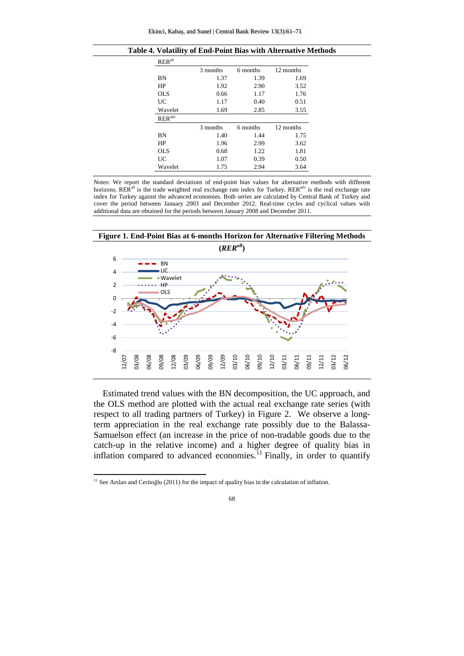| <b>RER</b> <sup>all</sup> |          |          |           |
|---------------------------|----------|----------|-----------|
|                           | 3 months | 6 months | 12 months |
| BN                        | 1.37     | 1.39     | 1.69      |
| HP                        | 1.92     | 2.90     | 3.52      |
| <b>OLS</b>                | 0.66     | 1.17     | 1.76      |
| <b>UC</b>                 | 1.17     | 0.40     | 0.51      |
| Wavelet                   | 1.69     | 2.85     | 3.55      |
| <b>RER</b> <sup>adv</sup> |          |          |           |
|                           | 3 months | 6 months | 12 months |
| BN                        | 1.40     | 1.44     | 1.75      |
| HP                        | 1.96     | 2.99     | 3.62      |
| <b>OLS</b>                | 0.68     | 1.22     | 1.81      |
| <b>UC</b>                 | 1.07     | 0.39     | 0.50      |
| Wavelet                   | 1.75     | 2.94     | 3.64      |

Notes: We report the standard deviations of end-point bias values for alternative methods with different horizons. RER<sup>all</sup> is the trade weighted real exchange rate index for Turkey. RER<sup>adv</sup> is the real exchange rate index for Turkey against the advanced economies. Both series are calculated by Central Bank of Turkey and cover the period between January 2003 and December 2012. Real-time cycles and cyclical values with additional data are obtained for the periods between January 2008 and December 2011.



Estimated trend values with the BN decomposition, the UC approach, and the OLS method are plotted with the actual real exchange rate series (with respect to all trading partners of Turkey) in Figure 2. We observe a longterm appreciation in the real exchange rate possibly due to the Balassa-Samuelson effect (an increase in the price of non-tradable goods due to the catch-up in the relative income) and a higher degree of quality bias in inflation compared to advanced economies.<sup>11</sup> Finally, in order to quantify

 $11$  See Arslan and Ceritoğlu (2011) for the impact of quality bias in the calculation of inflation.

<sup>68</sup>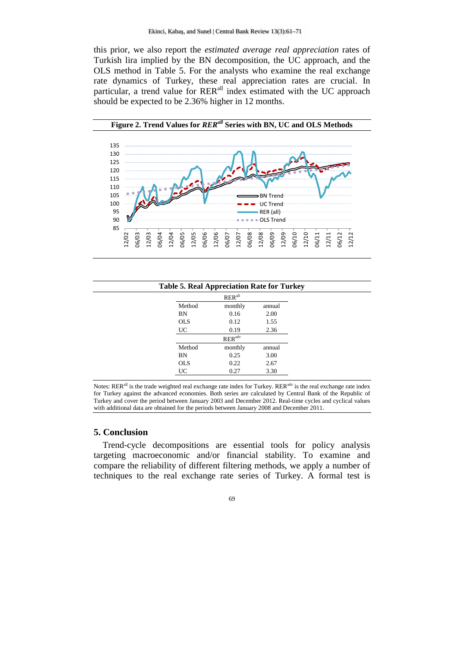this prior, we also report the *estimated average real appreciation* rates of Turkish lira implied by the BN decomposition, the UC approach, and the OLS method in Table 5. For the analysts who examine the real exchange rate dynamics of Turkey, these real appreciation rates are crucial. In particular, a trend value for RER<sup>all</sup> index estimated with the UC approach should be expected to be 2.36% higher in 12 months.



|            | <b>RER</b> <sup>all</sup> |        |
|------------|---------------------------|--------|
| Method     | monthly                   | annual |
| BN         | 0.16                      | 2.00   |
| <b>OLS</b> | 0.12                      | 1.55   |
| UC.        | 0.19                      | 2.36   |
|            | <b>RER</b> <sup>adv</sup> |        |
| Method     | monthly                   | annual |
| BN         | 0.25                      | 3.00   |
| <b>OLS</b> | 0.22                      | 2.67   |
| UC         | 0.27                      | 3.30   |

Notes: RER<sup>all</sup> is the trade weighted real exchange rate index for Turkey. RER<sup>adv</sup> is the real exchange rate index for Turkey against the advanced economies. Both series are calculated by Central Bank of the Republic of Turkey and cover the period between January 2003 and December 2012. Real-time cycles and cyclical values with additional data are obtained for the periods between January 2008 and December 2011.

# **5. Conclusion**

Trend-cycle decompositions are essential tools for policy analysis targeting macroeconomic and/or financial stability. To examine and compare the reliability of different filtering methods, we apply a number of techniques to the real exchange rate series of Turkey. A formal test is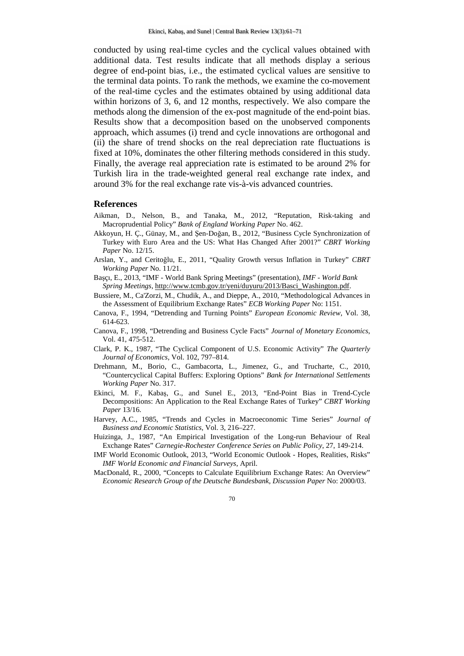conducted by using real-time cycles and the cyclical values obtained with additional data. Test results indicate that all methods display a serious degree of end-point bias, i.e., the estimated cyclical values are sensitive to the terminal data points. To rank the methods, we examine the co-movement of the real-time cycles and the estimates obtained by using additional data within horizons of 3, 6, and 12 months, respectively. We also compare the methods along the dimension of the ex-post magnitude of the end-point bias. Results show that a decomposition based on the unobserved components approach, which assumes (i) trend and cycle innovations are orthogonal and (ii) the share of trend shocks on the real depreciation rate fluctuations is fixed at 10%, dominates the other filtering methods considered in this study. Finally, the average real appreciation rate is estimated to be around 2% for Turkish lira in the trade-weighted general real exchange rate index, and around 3% for the real exchange rate vis-à-vis advanced countries.

#### **References**

- Aikman, D., Nelson, B., and Tanaka, M., 2012, "Reputation, Risk-taking and Macroprudential Policy" *Bank of England Working Paper* No. 462.
- Akkoyun, H. Ç., Günay, M., and Şen-Doğan, B., 2012, "Business Cycle Synchronization of Turkey with Euro Area and the US: What Has Changed After 2001?" *CBRT Working Paper* No. 12/15.
- Arslan, Y., and Ceritoğlu, E., 2011, "Quality Growth versus Inflation in Turkey" *CBRT Working Paper* No. 11/21.
- Başçı, E., 2013, "IMF World Bank Spring Meetings" (presentation), *IMF World Bank Spring Meetings,* http://www.tcmb.gov.tr/yeni/duyuru/2013/Basci\_Washington.pdf.
- Bussiere, M., Ca'Zorzi, M., Chudik, A., and Dieppe, A., 2010, "Methodological Advances in the Assessment of Equilibrium Exchange Rates" *ECB Working Paper* No: 1151.
- Canova, F., 1994, "Detrending and Turning Points" *European Economic Review*, Vol. 38, 614-623.
- Canova, F., 1998, "Detrending and Business Cycle Facts" *Journal of Monetary Economics*, Vol. 41, 475-512.
- Clark, P. K., 1987, "The Cyclical Component of U.S. Economic Activity" *The Quarterly Journal of Economics*, Vol. 102, 797–814.
- Drehmann, M., Borio, C., Gambacorta, L., Jimenez, G., and Trucharte, C., 2010, "Countercyclical Capital Buffers: Exploring Options" *Bank for International Settlements Working Paper* No. 317.
- Ekinci, M. F., Kabaş, G., and Sunel E., 2013, "End-Point Bias in Trend-Cycle Decompositions: An Application to the Real Exchange Rates of Turkey" *CBRT Working Paper* 13/16.
- Harvey, A.C., 1985, "Trends and Cycles in Macroeconomic Time Series" *Journal of Business and Economic Statistics*, Vol. 3, 216–227.
- Huizinga, J., 1987, "An Empirical Investigation of the Long-run Behaviour of Real Exchange Rates" *Carnegie-Rochester Conference Series on Public Policy*, 27, 149-214.
- IMF World Economic Outlook, 2013, "World Economic Outlook Hopes, Realities, Risks" *IMF World Economic and Financial Surveys*, April.
- MacDonald, R., 2000, "Concepts to Calculate Equilibrium Exchange Rates: An Overview" *Economic Research Group of the Deutsche Bundesbank, Discussion Paper* No: 2000/03.